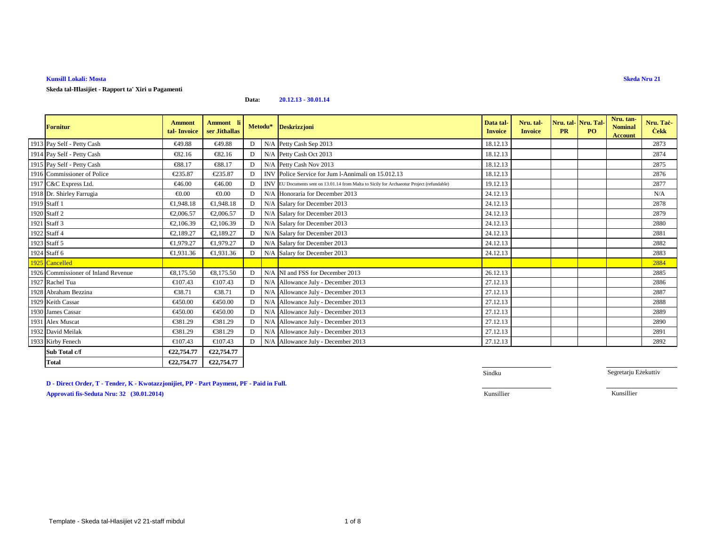**Skeda tal-Ħlasijiet - Rapport ta' Xiri u Pagamenti**

#### **Data:20.12.13 - 30.01.14**

| <b>Fornitur</b>                     | <b>Ammont</b><br>tal-Invoice | Ammont li<br>ser Jithallas | Metodu* |     | <b>Deskrizzjoni</b>                                                                       | Data tal-<br><b>Invoice</b> | Nru. tal-<br><b>Invoice</b> | Nru. tal- Nru. Tal<br><b>PR</b> | P <sub>O</sub> | Nru. tan-<br><b>Nominal</b><br><b>Account</b> | Nru. Taċ-<br><b>Cekk</b> |
|-------------------------------------|------------------------------|----------------------------|---------|-----|-------------------------------------------------------------------------------------------|-----------------------------|-----------------------------|---------------------------------|----------------|-----------------------------------------------|--------------------------|
| 1913 Pay Self - Petty Cash          | €49.88                       | €49.88                     | D       |     | N/A Petty CashSep 2013                                                                    | 18.12.13                    |                             |                                 |                |                                               | 2873                     |
| 1914 Pay Self - Petty Cash          | €82.16                       | €82.16                     | D       |     | N/A Petty CashOct 2013                                                                    | 18.12.13                    |                             |                                 |                |                                               | 2874                     |
| 1915 Pay Self - Petty Cash          | €88.17                       | €88.17                     | D       |     | N/A Petty CashNov 2013                                                                    | 18.12.13                    |                             |                                 |                |                                               | 2875                     |
| 1916 Commissioner of Police         | €235.87                      | €235.87                    | D       |     | INV PoliceService for Jum l-Annimali on 15.012.13                                         | 18.12.13                    |                             |                                 |                |                                               | 2876                     |
| 1917 C&C Express Ltd.               | €46.00                       | €46.00                     | D       |     | INVEU Documents sent on 13.01.14 from Malta to Sicily for Archaeotur Project (refundable) | 19.12.13                    |                             |                                 |                |                                               | 2877                     |
| 1918 Dr. Shirley Farrugia           | € $0.00$                     | € $0.00$                   | D       |     | N/A Honoraria forDecember 2013                                                            | 24.12.13                    |                             |                                 |                |                                               | N/A                      |
| 1919 Staff 1                        | €1,948.18                    | €1,948.18                  | D       |     | N/A Salary for December 2013                                                              | 24.12.13                    |                             |                                 |                |                                               | 2878                     |
| 1920 Staff 2                        | €2,006.57                    | €2,006.57                  | D       |     | N/A Salary for December 2013                                                              | 24.12.13                    |                             |                                 |                |                                               | 2879                     |
| 1921 Staff 3                        | €2,106.39                    | €2,106.39                  | D       |     | N/A Salary for December 2013                                                              | 24.12.13                    |                             |                                 |                |                                               | 2880                     |
| 1922 Staff 4                        | €2,189.27                    | €2,189.27                  | D       |     | N/A Salary for December 2013                                                              | 24.12.13                    |                             |                                 |                |                                               | 2881                     |
| 1923 Staff 5                        | €1,979.27                    | €1,979.27                  | D       |     | N/A Salary for December 2013                                                              | 24.12.13                    |                             |                                 |                |                                               | 2882                     |
| 1924 Staff 6                        | €1,931.36                    | €1,931.36                  | D       |     | N/A Salary for December 2013                                                              | 24.12.13                    |                             |                                 |                |                                               | 2883                     |
| 1925 Cancelled                      |                              |                            |         |     |                                                                                           |                             |                             |                                 |                |                                               | 2884                     |
| 1926 Commissioner of Inland Revenue | €8,175.50                    | €8,175.0                   | D       |     | N/A NI and FSS for December 2013                                                          | 26.12.13                    |                             |                                 |                |                                               | 2885                     |
| 1927 Rachel Tua                     | €107.43                      | €107.43                    | D       |     | N/A Allowance July - Deember 2013                                                         | 27.12.13                    |                             |                                 |                |                                               | 2886                     |
| 1928 Abraham Bezzina                | €38.71                       | €38.71                     | D       | N/A | Allowance July December 2013                                                              | 27.12.13                    |                             |                                 |                |                                               | 2887                     |
| 1929 Keith Cassar                   | €450.00                      | €450.00                    | D       |     | N/A Allowance July December 2013                                                          | 27.12.13                    |                             |                                 |                |                                               | 2888                     |
| 1930 James Cassar                   | €450.00                      | €450.00                    | D       |     | N/A Allowance July December 2013                                                          | 27.12.13                    |                             |                                 |                |                                               | 2889                     |
| 1931 Alex Muscat                    | €381.29                      | €381.29                    | D       |     | N/A Allowance July - December 2013                                                        | 27.12.13                    |                             |                                 |                |                                               | 2890                     |
| 1932 David Meilak                   | €381.29                      | €381.29                    | D       |     | N/A Allowance July December 2013                                                          | 27.12.13                    |                             |                                 |                |                                               | 2891                     |
| 1933 Kirby Fenech                   | €107.43                      | €107.43                    | D       |     | N/A Allowance July December 2013                                                          | 27.12.13                    |                             |                                 |                |                                               | 2892                     |
| Sub Total c/f                       | €22,754.77                   | €22,754.77                 |         |     |                                                                                           |                             |                             |                                 |                |                                               |                          |
| <b>Total</b>                        | €22,754.77                   | €22,754.77                 |         |     |                                                                                           |                             |                             |                                 |                |                                               |                          |

**D - Direct Order, T - Tender, K - Kwotazzjonijiet, PP - Part Payment, PF - Paid in Full. Approvati fis-Seduta Nru: 32 (30.01.2014)**Kunsillier Kunsillier

Sindku

Segretarju Eżekuttiv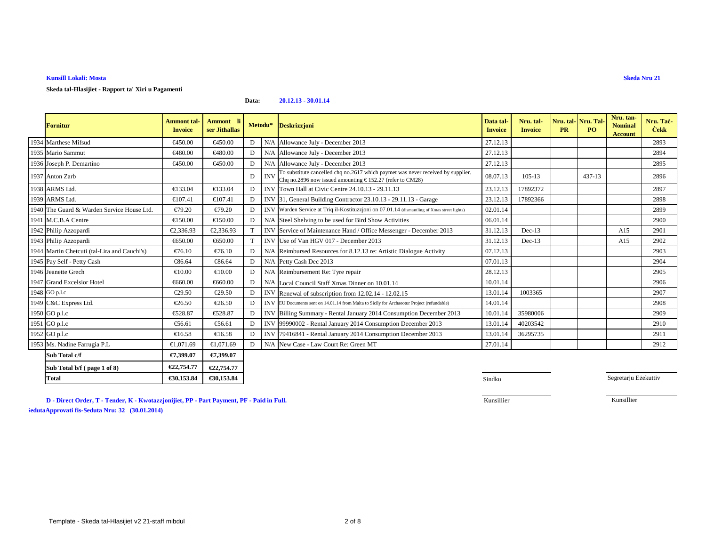**Total**

**Skeda tal-Ħlasijiet - Rapport ta' Xiri u Pagamenti**

#### **Data:20.12.13 - 30.01.14**

| Fornitur                                     | <b>Ammont</b> tal-<br><b>Invoice</b> | Ammont li<br>ser Jithallas |              | Metodu*    | <b>Deskrizzjoni</b>                                                                                                                           | Data tal-<br><b>Invoice</b> | Nru. tal-<br><b>Invoice</b> | <b>PR</b> | Nru. tal- Nru. Tal<br><b>PO</b> | Nru. tan-<br><b>Nominal</b><br><b>Account</b> | Nru. Tac-<br><b>Cekk</b> |
|----------------------------------------------|--------------------------------------|----------------------------|--------------|------------|-----------------------------------------------------------------------------------------------------------------------------------------------|-----------------------------|-----------------------------|-----------|---------------------------------|-----------------------------------------------|--------------------------|
| 1934 Marthese Mifsud                         | €450.00                              | €450.00                    | $\mathbf{D}$ |            | N/A Allowance July December 2013                                                                                                              | 27.12.13                    |                             |           |                                 |                                               | 2893                     |
| 1935 Mario Sammut                            | €480.00                              | €480.00                    | $\mathbf{D}$ |            | N/A Allowance July December 2013                                                                                                              | 27.12.13                    |                             |           |                                 |                                               | 2894                     |
| 1936 Joseph P. Demartino                     | €450.00                              | €450.00                    | $\mathbf{D}$ |            | N/A AllowanceJuly - December 2013                                                                                                             | 27.12.13                    |                             |           |                                 |                                               | 2895                     |
| 1937 Anton Zarb                              |                                      |                            | D            | <b>INV</b> | To substitute cancelled chq no.2617 which paymet was never received by supplier.<br>Chq no.2896 now issued amounting € 152.27 (refer to CM28) | 08.07.13                    | $105 - 13$                  |           | 437-13                          |                                               | 2896                     |
| 1938 ARMS Ltd.                               | €133.04                              | €133.04                    | D.           |            | INV Town Hall at Civic Centre 24.10.13 - 29.11.13                                                                                             | 23.12.13                    | 17892372                    |           |                                 |                                               | 2897                     |
| 1939 ARMS Ltd.                               | €107.41                              | €107.41                    | D            |            | INV 31, General BuildingContractor 23.10.13 - 29.11.13 - Garage                                                                               | 23.12.13                    | 17892366                    |           |                                 |                                               | 2898                     |
| 1940 The Guard & Warden Service House Ltd.   | €79.20                               | €7920                      | D            |            | INV Warden Service at Triq il-Kostituzzioni on 07.01.14 (dismantling of Xmas street lights)                                                   | 02.01.14                    |                             |           |                                 |                                               | 2899                     |
| 1941 M.C.B.A Centre                          | €150.00                              | €150.00                    | D.           |            | N/A Steel Shelvingo be used for Bird Show Activities                                                                                          | 06.01.14                    |                             |           |                                 |                                               | 2900                     |
| 1942 Philip Azzopardi                        | €2.336.93                            | €2.336.93                  |              |            | INV Service 6 Maintenance Hand / Office Messenger - December 2013                                                                             | 31.12.13                    | $Dec-13$                    |           |                                 | A15                                           | 2901                     |
| 1943 Philip Azzopardi                        | €650.00                              | €650.00                    | T            |            | INV Use of Van HCV 017 - December 2013                                                                                                        | 31.12.13                    | $Dec-13$                    |           |                                 | A15                                           | 2902                     |
| 1944 Martin Chetcuti (tal-Lira and Cauchi's) | €76.10                               | $€$ 6.10                   | D            |            | N/A Reimbursed Resources for 8.12.13 re: Artistic Dialogue Activity                                                                           | 07.12.13                    |                             |           |                                 |                                               | 2903                     |
| 1945 Pay Self - Petty Cash                   | €86.64                               | €86.64                     | D.           |            | N/A Petty CashDec 2013                                                                                                                        | 07.01.13                    |                             |           |                                 |                                               | 2904                     |
| 1946 Jeanette Grech                          | €10.00                               | €10.00                     | D            |            | N/A Reimbursement ReTyre repair                                                                                                               | 28.12.13                    |                             |           |                                 |                                               | 2905                     |
| 1947 Grand Excelsior Hotel                   | €660.00                              | €660.00                    | D            |            | N/A Local Council Staff Xmas Dinner on 10.01.14                                                                                               | 10.01.14                    |                             |           |                                 |                                               | 2906                     |
| 1948 GO p.l.c                                | €29.50                               | €29.50                     | D            |            | INV Renewal of subscription from 12.02.14 - 12.02.15                                                                                          | 13.01.14                    | 1003365                     |           |                                 |                                               | 2907                     |
| 1949 C&C Express Ltd.                        | €26.50                               | €26.50                     | D            |            | <b>INVIEU</b> Documents sent on 14.01.14 from Malta to Sicily for Archaeotur Project (refundable)                                             | 14.01.14                    |                             |           |                                 |                                               | 2908                     |
| 1950 GO p.l.c                                | €528.87                              | €528.87                    | D.           |            | INV Billing Summary - Rental January 2014 Consumption December 2013                                                                           | 10.01.14                    | 35980006                    |           |                                 |                                               | 2909                     |
| 1951 GO p.l.c                                | €56.61                               | €56.61                     | D.           |            | INV 99990002 - Rental January 2014 Conumption December 2013                                                                                   | 13.01.14                    | 40203542                    |           |                                 |                                               | 2910                     |
| 1952 GO p.l.c                                | €16.58                               | €16.58                     | D            |            | INV 79416841 - Rental January 2014 Consmption December 2013                                                                                   | 13.01.14                    | 36295735                    |           |                                 |                                               | 2911                     |
| 1953 Ms. Nadine Farrugia P.L                 | €1,071.69                            | €1,071.69                  | $\mathbf{D}$ |            | N/A Nov Case - Law Court Re: Green MT                                                                                                         | 27.01.14                    |                             |           |                                 |                                               | 2912                     |
| Sub Total c/f                                | €7,399.07                            | €7,399.07                  |              |            |                                                                                                                                               |                             |                             |           |                                 |                                               |                          |
| Sub Total b/f (page 1 of 8)                  | €22,754.77                           | €22,754.77                 |              |            |                                                                                                                                               |                             |                             |           |                                 |                                               |                          |

**4** 

Segretarju Eżekuttiv

**D - Direct Order, T - Tender, K - Kwotazzjonijiet, PP - Part Payment, PF - Paid in Full. Approvati fis-Seduta Nru: 24 (29.08.20 Approvati fis-Seduta Nru: 32 (30.01.2014) 13)**

**€30,153.84 €30,153.84**

€30,153.84

Kunsillier

Kunsillier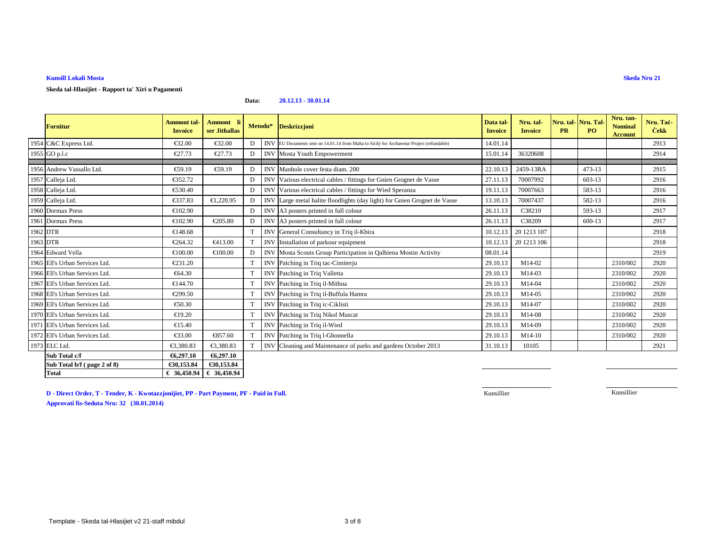**Skeda tal-Hlasijiet - Rapport ta' Xiri u Pagamenti**

#### **Data:20.12.13 - 30.01.14**

|          | <b>Fornitur</b>                | <b>Ammont</b> tal-<br><b>Invoice</b> | <b>Ammont</b><br>ser Jithallas | Metodu*         |            | <b>Deskrizzjoni</b>                                                                       | Data tal-<br><b>Invoice</b> | Nru. tal-<br><b>Invoice</b> | Nru. tal-Nru. Tal<br><b>PR</b> | <b>PO</b>  | Nru. tan-<br><b>Nominal</b><br><b>Account</b> | Nru. Tac-<br><b>Cekk</b> |
|----------|--------------------------------|--------------------------------------|--------------------------------|-----------------|------------|-------------------------------------------------------------------------------------------|-----------------------------|-----------------------------|--------------------------------|------------|-----------------------------------------------|--------------------------|
|          | 1954 C&C Express Ltd.          | €32.00                               | €32.00                         | D               |            | INVEU Documents sent on 14.01.14 from Malta to Sicily for Archaeotur Project (refundable) | 14.01.14                    |                             |                                |            |                                               | 2913                     |
|          | 1955 GO p.l.c                  | €27.73                               | €27.73                         | D               |            | <b>INV</b> Mosta Youth Empowerment                                                        | 15.01.14                    | 36320608                    |                                |            |                                               | 2914                     |
|          |                                |                                      |                                |                 |            |                                                                                           |                             |                             |                                |            |                                               |                          |
|          | 1956 Andrew Vassallo Ltd.      | €59.19                               | €59.19                         | D               | <b>INV</b> | Manhole cour festa diam. 200                                                              | 22.10.13                    | 2459-13RA                   |                                | $473 - 13$ |                                               | 2915                     |
|          | 1957 Calleja Ltd.              | €352.72                              |                                | D               | <b>INV</b> | Various electrical cables / fittings for Gnien Grognet de Vasse                           | 27.11.13                    | 70007992                    |                                | 603-13     |                                               | 2916                     |
|          | 1958 Calleja Ltd.              | €530.40                              |                                | D               |            | INV Various electrical cables / fittings for Wied Speranza                                | 19.11.13                    | 70007663                    |                                | 583-13     |                                               | 2916                     |
|          | 1959 Calleja Ltd.              | €337.83                              | €1,220.95                      | D               | <b>INV</b> | Large metal haile floodlights (day light) for Gnien Grognet de Vasse                      | 13.10.13                    | 70007437                    |                                | 582-13     |                                               | 2916                     |
|          | 1960 Dormax Press              | €102.90                              |                                | D               |            | INV A3 posters printed in full colour                                                     | 26.11.13                    | C38210                      |                                | 593-13     |                                               | 2917                     |
|          | 1961 Dormax Press              | €102.90                              | €205.80                        | D               |            | INV A3 posters printd in full colour                                                      | 26.11.13                    | C38209                      |                                | $600 - 13$ |                                               | 2917                     |
| 1962 DTR |                                | €148.68                              |                                | T               |            | INV General Consultancy in Triq il-Kbira                                                  | 10.12.13                    | 20 12 13 107                |                                |            |                                               | 2918                     |
| 1963 DTR |                                | €264.32                              | €413.00                        | T               | <b>INV</b> | Installation of parkour equipment                                                         | 10.12.13                    | 20 12 13 10 6               |                                |            |                                               | 2918                     |
|          | 1964 Edward Vella              | €100.00                              | €100.00                        | D               |            | INV Mosta Scouts Grop Participation in Qalbiena Mostin Activity                           | 08.01.14                    |                             |                                |            |                                               | 2919                     |
|          | 1965 Ell's Urban Services Ltd. | €231.20                              |                                |                 | <b>INV</b> | Patching in Triq tac-Cimiterju                                                            | 29.10.13                    | M14-02                      |                                |            | 2310/002                                      | 2920                     |
|          | 1966 Ell's Urban Services Ltd. | €64.30                               |                                |                 |            | <b>INV</b> Patching in Triq Valletta                                                      | 29.10.13                    | M14-03                      |                                |            | 2310/002                                      | 2920                     |
|          | 1967 Ell's Urban Services Ltd. | €144.70                              |                                | $\mathbf{T}$    |            | INV Patching inTriq il-Mithna                                                             | 29.10.13                    | M14-04                      |                                |            | 2310/002                                      | 2920                     |
|          | 1968 Ell's Urban Services Ltd. | €299.50                              |                                | $^{\mathrm{T}}$ |            | INV Patching in Triq il-Buffula Hamra                                                     | 29.10.13                    | M14-05                      |                                |            | 2310/002                                      | 2920                     |
|          | 1969 Ell's Urban Services Ltd. | $\epsilon$ 50.30                     |                                | Т               |            | INV Patching in Triq ic-Ciklisti                                                          | 29.10.13                    | M14-07                      |                                |            | 2310/002                                      | 2920                     |
|          | 1970 Ell's Urban Services Ltd. | €19.20                               |                                |                 |            | INV Patching in Triq Nikol Muscat                                                         | 29.10.13                    | M14-08                      |                                |            | 2310/002                                      | 2920                     |
|          | 1971 Ell's Urban Services Ltd. | €15.40                               |                                | $^{\mathrm{T}}$ |            | INV Patching in Triq il-Wied                                                              | 29.10.13                    | M14-09                      |                                |            | 2310/002                                      | 2920                     |
|          | 1972 Ell's Urban Services Ltd. | €33.00                               | €857.60                        | T               | <b>INV</b> | Patcing in Triq l-Ghonnella                                                               | 29.10.13                    | M14-10                      |                                |            | 2310/002                                      | 2920                     |
|          | 1973 ELC Ltd.                  | €3,380.83                            | €3,380.83                      | T               | <b>INV</b> | Cleaning and Mainenance of parks and gardens October 2013                                 | 31.10.13                    | 10105                       |                                |            |                                               | 2921                     |
|          | Sub Total c/f                  | €6,297.10                            | €6,297.10                      |                 |            |                                                                                           |                             |                             |                                |            |                                               |                          |
|          | Sub Total b/f (page 2 of 8)    | €30,153.84                           | €30,153.84                     |                 |            |                                                                                           |                             |                             |                                |            |                                               |                          |
|          | <b>Total</b>                   | € 36,450.94                          | € 36,450.94                    |                 |            |                                                                                           |                             |                             |                                |            |                                               |                          |

**D - Direct Order, T - Tender, K - Kwotazzjonijiet, PP - Part Payment, PF - Paid in Full.Approvati fis-Seduta Nru: 32 (30.01.2014)**

Kunsillier

Kunsillier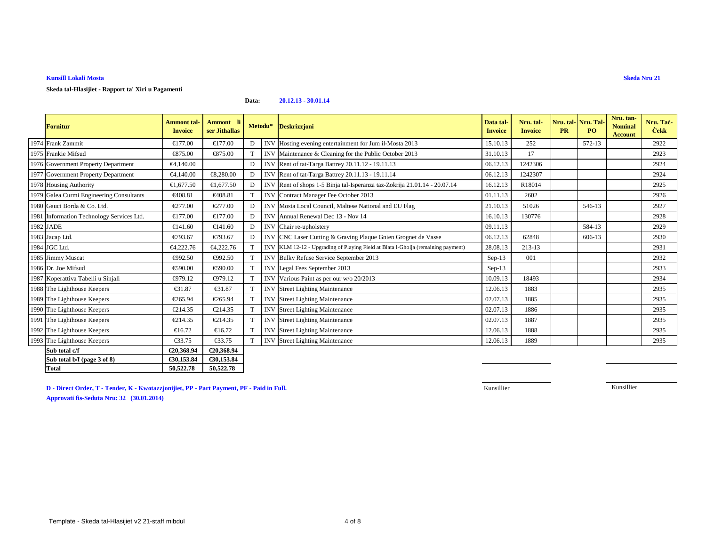## **Skeda tal-Hlasijiet - Rapport ta' Xiri u Pagamenti**

#### **Data:20.12.13 - 30.01.14**

| Fornitur                                  | <b>Ammont</b> tal-<br><b>Invoice</b> | Ammont li<br>ser Jithallas |   | Metodu*    | Deskrizzjoni                                                                     | Data tal-<br><b>Invoice</b> | Nru. tal-<br><b>Invoice</b> | Nru. tal-Nru. Tal-<br><b>PR</b> | PO.    | Nru. tan-<br><b>Nominal</b><br><b>Account</b> | Nru. Taċ-<br><b>Cekk</b> |
|-------------------------------------------|--------------------------------------|----------------------------|---|------------|----------------------------------------------------------------------------------|-----------------------------|-----------------------------|---------------------------------|--------|-----------------------------------------------|--------------------------|
| 1974 Frank Zammit                         | €177.00                              | €177.00                    | D |            | INV Hosting evening atertainment for Jum il-Mosta 2013                           | 15.10.13                    | 252                         |                                 | 572-13 |                                               | 2922                     |
| 1975 Frankie Mifsud                       | €875.00                              | €875.00                    | T |            | INV Maintenance & Ceaning for the Public October 2013                            | 31.10.13                    | 17                          |                                 |        |                                               | 2923                     |
| 1976 Government Property Department       | €4,140.00                            |                            | D |            | INV Rentof tat-Targa Battrey 20.11.12 - 19.11.13                                 | 06.12.13                    | 1242306                     |                                 |        |                                               | 2924                     |
| 1977 Government Property Department       | €4,140.00                            | €8,280.0                   | D |            | INV Rent of tat-Targa Battrey 20.11.13 - 19.11.14                                | 06.12.13                    | 1242307                     |                                 |        |                                               | 2924                     |
| 1978 Housing Authority                    | €1,677.50                            | €1,677.50                  | D |            | INV Rent of hops 1-5 Binja tal-Isperanza taz-Zokrija 21.01.14 - 20.07.14         | 16.12.13                    | R18014                      |                                 |        |                                               | 2925                     |
| 1979 Galea Curmi Engineering Consultants  | €408.81                              | €40881                     |   |            | INV Contract Manager Fee October 2013                                            | 01.11.13                    | 2602                        |                                 |        |                                               | 2926                     |
| 1980 Gauci Borda & Co. Ltd.               | €277.00                              | €277.00                    | D |            | INV Mosta bcal Council, Maltese National and EU Flag                             | 21.10.13                    | 51026                       |                                 | 546-13 |                                               | 2927                     |
| 1981 Information Technology Services Ltd. | €177.00                              | €17700                     | D |            | INV Annual Renewal Dec 13 - Nov 14                                               | 16.10.13                    | 130776                      |                                 |        |                                               | 2928                     |
| 1982 JADE                                 | €141.60                              | €141.60                    | D |            | INV Chair re-upholstery                                                          | 09.11.13                    |                             |                                 | 584-13 |                                               | 2929                     |
| 1983 Jacap Ltd.                           | €793.67                              | €793.67                    | D |            | INV CNC Laser Cutting &Graving Plaque Gnien Grognet de Vasse                     | 06.12.13                    | 62848                       |                                 | 606-13 |                                               | 2930                     |
| 1984 JGC Ltd.                             | €4,222.76                            | €4,222.76                  |   |            | INV KLM 12-12 - Upgrading of Playing Field at Blata l-Gholja (remaining payment) | 28.08.13                    | 213-13                      |                                 |        |                                               | 2931                     |
| 1985 Jimmy Muscat                         | €992.50                              | €992.50                    |   |            | INV Bulky Refuse Serice September 2013                                           | $Sep-13$                    | 001                         |                                 |        |                                               | 2932                     |
| 1986 Dr. Joe Mifsud                       | €590.00                              | €590.00                    | T |            | INV Legal Fees Septmber 2013                                                     | $Sep-13$                    |                             |                                 |        |                                               | 2933                     |
| 1987 Koperattiva Tabelli u Sinjali        | €979.12                              | €979.12                    | T |            | INV Various Paint as per our w/o 20/2013                                         | 10.09.13                    | 18493                       |                                 |        |                                               | 2934                     |
| 1988 The Lighthouse Keepers               | €31.87                               | €31.87                     | T |            | <b>INV</b> Street Lighting Maintenance                                           | 12.06.13                    | 1883                        |                                 |        |                                               | 2935                     |
| 1989 The Lighthouse Keepers               | €265.94                              | €265.94                    |   |            | <b>INV</b> StreeLighting Maintenance                                             | 02.07.13                    | 1885                        |                                 |        |                                               | 2935                     |
| 1990 The Lighthouse Keepers               | €214.35                              | €214.35                    |   |            | <b>INV</b> StreeLighting Maintenance                                             | 02.07.13                    | 1886                        |                                 |        |                                               | 2935                     |
| 1991 The Lighthouse Keepers               | €214.35                              | €214.35                    |   |            | INV StreeLighting Maintenance                                                    | 02.07.13                    | 1887                        |                                 |        |                                               | 2935                     |
| 1992 The Lighthouse Keepers               | €16.72                               | €16.72                     |   | <b>INV</b> | Street Lighting Maintenance                                                      | 12.06.13                    | 1888                        |                                 |        |                                               | 2935                     |
| 1993 The Lighthouse Keepers               | €33.75                               | €33.75                     | T |            | <b>INV</b> Street Lighting Maintenance                                           | 12.06.13                    | 1889                        |                                 |        |                                               | 2935                     |
| Sub total c/f                             | €20,368.94                           | €20,368.94                 |   |            |                                                                                  |                             |                             |                                 |        |                                               |                          |
| Sub total b/f (page 3 of 8)               | €30,153.84                           | €30,153.84                 |   |            |                                                                                  |                             |                             |                                 |        |                                               |                          |
| <b>Total</b>                              | 50,522.78                            | 50,522.78                  |   |            |                                                                                  |                             |                             |                                 |        |                                               |                          |

**D - Direct Order, T - Tender, K - Kwotazzjonijiet, PP - Part Payment, PF - Paid in Full.Approvati fis-Seduta Nru: 32 (30.01.2014)**

Kunsillier

Kunsillier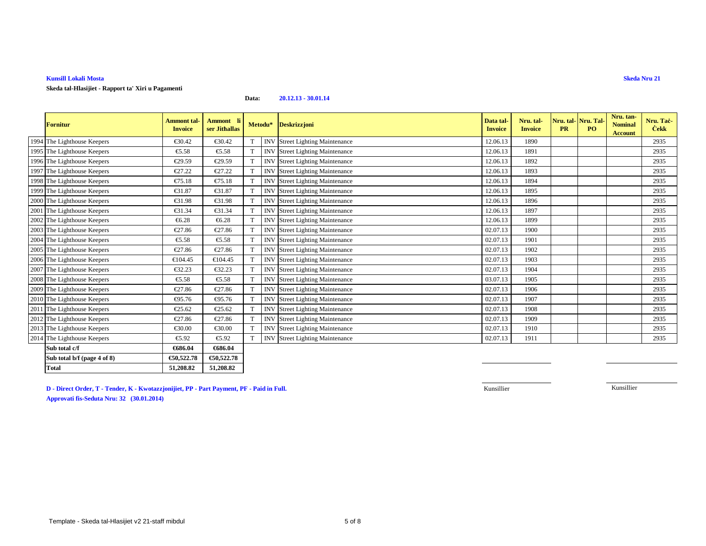**Skeda tal-Hlasijiet - Rapport ta' Xiri u Pagamenti**

**Data:20.12.13 - 30.01.14**

| <b>Fornitur</b>             | <b>Ammont</b> tal-<br><b>Invoice</b> | Ammont li<br>ser Jithallas |              | Metodu* | <b>Deskrizzjoni</b>                    | Data tal-<br><b>Invoice</b> | Nru. tal-<br><b>Invoice</b> | Nru. tal- <mark>Nru. Tal</mark><br>PR | <b>PO</b> | Nru. tan-<br><b>Nominal</b><br><b>Account</b> | Nru. Tac-<br><b>Cekk</b> |
|-----------------------------|--------------------------------------|----------------------------|--------------|---------|----------------------------------------|-----------------------------|-----------------------------|---------------------------------------|-----------|-----------------------------------------------|--------------------------|
| 1994 The Lighthouse Keepers | €30.42                               | €30.42                     | T            |         | INV Street Lighting Maintenance        | 12.06.13                    | 1890                        |                                       |           |                                               | 2935                     |
| 1995 The Lighthouse Keepers | €5.58                                | €5.58                      | T            |         | <b>INV</b> Street Lighing Maintenance  | 12.06.13                    | 1891                        |                                       |           |                                               | 2935                     |
| 1996 The Lighthouse Keepers | €29.59                               | €29.59                     | T            |         | INV Street Lighting Maintenance        | 12.06.13                    | 1892                        |                                       |           |                                               | 2935                     |
| 1997 The Lighthouse Keepers | €27.22                               | €27.22                     | T            |         | INV Street Lighting Maintenance        | 12.06.13                    | 1893                        |                                       |           |                                               | 2935                     |
| 1998 The Lighthouse Keepers | €75.18                               | €75.18                     | T            |         | INV Street Lighting Maintenance        | 12.06.13                    | 1894                        |                                       |           |                                               | 2935                     |
| 1999 The Lighthouse Keepers | €31.87                               | €31.87                     | T            |         | <b>INV</b> Street Lighting Maintenance | 12.06.13                    | 1895                        |                                       |           |                                               | 2935                     |
| 2000 The Lighthouse Keepers | €31.98                               | €31.98                     | <sup>T</sup> |         | <b>INV</b> Street Lighting Maintenance | 12.06.13                    | 1896                        |                                       |           |                                               | 2935                     |
| 2001 The Lighthouse Keepers | €31.34                               | €31.34                     | T            |         | INV Street Lighting Maintenance        | 12.06.13                    | 1897                        |                                       |           |                                               | 2935                     |
| 2002 The Lighthouse Keepers | €6.28                                | €6.28                      | T            |         | <b>INV</b> Street Lighing Maintenance  | 12.06.13                    | 1899                        |                                       |           |                                               | 2935                     |
| 2003 The Lighthouse Keepers | €27.86                               | €27.86                     | T            |         | INV Street Lighting Maintenance        | 02.07.13                    | 1900                        |                                       |           |                                               | 2935                     |
| 2004 The Lighthouse Keepers | €5.58                                | €5.58                      | T            |         | <b>INV</b> Street Lighing Maintenance  | 02.07.13                    | 1901                        |                                       |           |                                               | 2935                     |
| 2005 The Lighthouse Keepers | €27.86                               | €27.86                     | T            |         | INV Street Lighting Maintenance        | 02.07.13                    | 1902                        |                                       |           |                                               | 2935                     |
| 2006 The Lighthouse Keepers | €104.45                              | €104.45                    |              |         | <b>INV</b> StreeLighting Maintenance   | 02.07.13                    | 1903                        |                                       |           |                                               | 2935                     |
| 2007 The Lighthouse Keepers | €32.23                               | €32.23                     | T            |         | INV Street Lighting Maintenance        | 02.07.13                    | 1904                        |                                       |           |                                               | 2935                     |
| 2008 The Lighthouse Keepers | €5.58                                | €5.58                      | T            |         | INV Street Lighing Maintenance         | 03.07.13                    | 1905                        |                                       |           |                                               | 2935                     |
| 2009 The Lighthouse Keepers | €27.86                               | €27.86                     | T            |         | INV Street Lighting Maintenance        | 02.07.13                    | 1906                        |                                       |           |                                               | 2935                     |
| 2010 The Lighthouse Keepers | €95.76                               | €95.76                     | T            |         | <b>INV</b> Street Lighting Maintenance | 02.07.13                    | 1907                        |                                       |           |                                               | 2935                     |
| 2011 The Lighthouse Keepers | €25.62                               | €25.62                     | T            |         | <b>INV</b> Street Lighting Maintenance | 02.07.13                    | 1908                        |                                       |           |                                               | 2935                     |
| 2012 The Lighthouse Keepers | €27.86                               | €27.86                     | T            |         | INV Street Lighting Maintenance        | 02.07.13                    | 1909                        |                                       |           |                                               | 2935                     |
| 2013 The Lighthouse Keepers | €30.00                               | €30.00                     | T            |         | <b>INV</b> Street Lighting Maintenance | 02.07.13                    | 1910                        |                                       |           |                                               | 2935                     |
| 2014 The Lighthouse Keepers | €5.92                                | €5.92                      | T            |         | INV Street Lighing Maintenance         | 02.07.13                    | 1911                        |                                       |           |                                               | 2935                     |
| Sub total c/f               | €686.04                              | €686.04                    |              |         |                                        |                             |                             |                                       |           |                                               |                          |
| Sub total b/f (page 4 of 8) | €50,522.78                           | €50,522.78                 |              |         |                                        |                             |                             |                                       |           |                                               |                          |
| <b>Total</b>                | 51,208.82                            | 51,208.82                  |              |         |                                        |                             |                             |                                       |           |                                               |                          |

**D - Direct Order, T - Tender, K - Kwotazzjonijiet, PP - Part Payment, PF - Paid in Full.Approvati fis-Seduta Nru: 32 (30.01.2014)**

Kunsillier

Kunsillier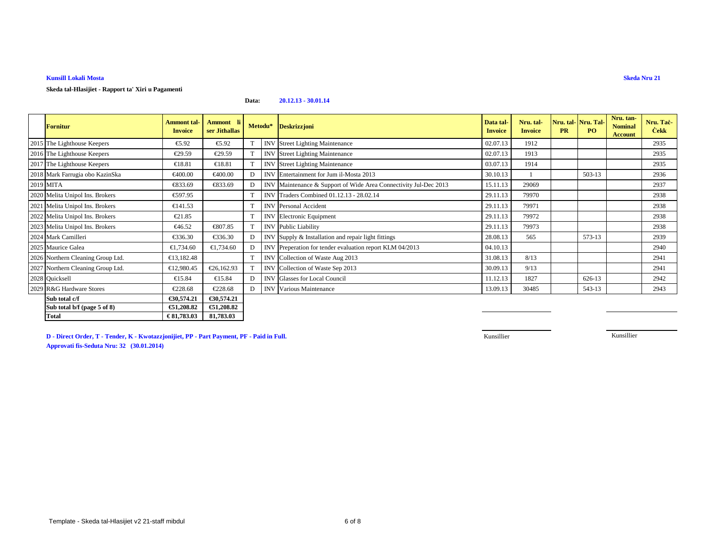## **Skeda tal-Hlasijiet - Rapport ta' Xiri u Pagamenti**

#### **Data:20.12.13 - 30.01.14**

| <b>Fornitur</b>                   | <b>Ammont</b> tal-<br><b>Invoice</b> | Ammont li<br>ser Jithallas |   | Metodu*    | <b>Deskrizzjoni</b>                                         | Data tal-<br><b>Invoice</b> | Nru. tal-<br><b>Invoice</b> | <b>PR</b> | Nru. tal- Nru. Tal-<br>PQ | Nru. tan-<br><b>Nominal</b><br>Account | Nru. Tac-<br><b>Cekk</b> |
|-----------------------------------|--------------------------------------|----------------------------|---|------------|-------------------------------------------------------------|-----------------------------|-----------------------------|-----------|---------------------------|----------------------------------------|--------------------------|
| 2015 The Lighthouse Keepers       | €5.92                                | €5.92                      |   | <b>INV</b> | <b>Street Lighing Maintenance</b>                           | 02.07.13                    | 1912                        |           |                           |                                        | 2935                     |
| 2016 The Lighthouse Keepers       | €29.59                               | €29.59                     |   | <b>INV</b> | <b>Street Lighting Maintenance</b>                          | 02.07.13                    | 1913                        |           |                           |                                        | 2935                     |
| 2017 The Lighthouse Keepers       | €18.81                               | €18.81                     | T | <b>INV</b> | <b>Street Lighting Maintenance</b>                          | 03.07.13                    | 1914                        |           |                           |                                        | 2935                     |
| 2018 Mark Farrugia obo KazinSka   | €400.00                              | €400.00                    | D | <b>INV</b> | Entrtainment for Jum il-Mosta 2013                          | 30.10.13                    |                             |           | 503-13                    |                                        | 2936                     |
| 2019 MITA                         | €833.69                              | €833.69                    | D | <b>INV</b> | Maintenance & Support of Wide Are Connectivity Jul-Dec 2013 | 15.11.13                    | 29069                       |           |                           |                                        | 2937                     |
| 2020 Melita Unipol Ins. Brokers   | €597.95                              |                            |   |            | INV Traders Combined 01.12.13 - 28.02.14                    | 29.11.13                    | 79970                       |           |                           |                                        | 2938                     |
| 2021 Melita Unipol Ins. Brokers   | €141.53                              |                            |   | <b>INV</b> | Personal Accident                                           | 29.11.13                    | 79971                       |           |                           |                                        | 2938                     |
| 2022 Melita Unipol Ins. Brokers   | €21.85                               |                            |   | <b>INV</b> | Electronic Equipment                                        | 29.11.13                    | 79972                       |           |                           |                                        | 2938                     |
| 2023 Melita Unipol Ins. Brokers   | €46.52                               | €807.85                    |   | <b>INV</b> | Publc Liability                                             | 29.11.13                    | 79973                       |           |                           |                                        | 2938                     |
| 2024 Mark Camilleri               | €336.30                              | €336.30                    | D | <b>INV</b> | Supply & Installation and repair light fittings             | 28.08.13                    | 565                         |           | 573-13                    |                                        | 2939                     |
| 2025 Maurice Galea                | €1,734.60                            | €1,734.60                  | D | <b>INV</b> | Preperation for tender evaluation report KLM 04/2013        | 04.10.13                    |                             |           |                           |                                        | 2940                     |
| 2026 Northern Cleaning Group Ltd. | €13,182.48                           |                            |   |            | INV Collection of Waste Aug 2013                            | 31.08.13                    | 8/13                        |           |                           |                                        | 2941                     |
| 2027 Northern Cleaning Group Ltd. | €12,980.45                           | €26,162.9                  |   | <b>INV</b> | Collection of Waste Sep 2013                                | 30.09.13                    | 9/13                        |           |                           |                                        | 2941                     |
| 2028 Quicksell                    | €15.84                               | €15.84                     | D | <b>INV</b> | Glasses for Local Council                                   | 11.12.13                    | 1827                        |           | 626-13                    |                                        | 2942                     |
| 2029 R&G Hardware Stores          | €228.68                              | €228.68                    | D | <b>INV</b> | Various Mintenance                                          | 13.09.13                    | 30485                       |           | 543-13                    |                                        | 2943                     |
| Sub total c/f                     | €30,574.21                           | €30,574.21                 |   |            |                                                             |                             |                             |           |                           |                                        |                          |
| Sub total b/f (page 5 of 8)       | €51,208.82                           | €51,208.82                 |   |            |                                                             |                             |                             |           |                           |                                        |                          |
| <b>Total</b>                      | € 81,783.03                          | 81,783.03                  |   |            |                                                             |                             |                             |           |                           |                                        |                          |

**D - Direct Order, T - Tender, K - Kwotazzjonijiet, PP - Part Payment, PF - Paid in Full.**

Kunsillier

Kunsillier

**Approvati fis-Seduta Nru: 32 (30.01.2014)**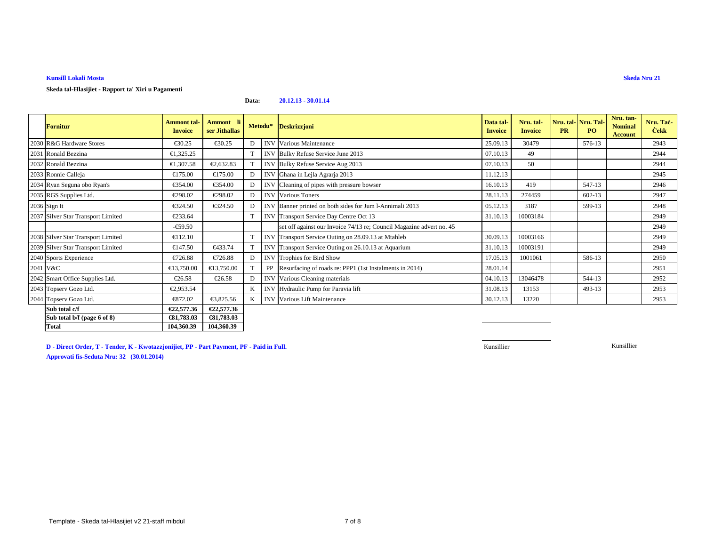# **Skeda tal-Hlasijiet - Rapport ta' Xiri u Pagamenti**

#### **Data:20.12.13 - 30.01.14**

| <b>Fornitur</b>                    | Ammont tal-<br><b>Invoice</b> | <b>Ammont</b> li<br>ser Jithallas |   | Metodu*    | <b>Deskrizzjoni</b>                                                  | Data tal-<br><b>Invoice</b> | Nru. tal-<br><b>Invoice</b> | <b>PR</b> | Nru. tal- Nru. Tal-<br><b>PO</b> | Nru. tan-<br><b>Nominal</b><br><b>Account</b> | Nru. Tac-<br><b>Cekk</b> |
|------------------------------------|-------------------------------|-----------------------------------|---|------------|----------------------------------------------------------------------|-----------------------------|-----------------------------|-----------|----------------------------------|-----------------------------------------------|--------------------------|
| 2030 R&G Hardware Stores           | $\epsilon$ 30.25              | €30.25                            | D | <b>INV</b> | Various Maitenance                                                   | 25.09.13                    | 30479                       |           | 576-13                           |                                               | 2943                     |
| 2031 Ronald Bezzina                | €1,325.25                     |                                   |   |            | INV Bulky Refuse ServiceJune 2013                                    | 07.10.13                    | 49                          |           |                                  |                                               | 2944                     |
| 2032 Ronald Bezzina                | €1,307.58                     | €2,632.83                         | T |            | INV Bulky Refus Service Aug 2013                                     | 07.10.13                    | 50                          |           |                                  |                                               | 2944                     |
| 2033 Ronnie Calleja                | €175.00                       | €175.00                           | D | <b>INV</b> | Ghana in LejlaAgrarja 2013                                           | 11.12.13                    |                             |           |                                  |                                               | 2945                     |
| 2034 Ryan Seguna obo Ryan's        | €354.00                       | €354.00                           | D | <b>INV</b> | Cleaning of pipes with pressure bowser                               | 16.10.13                    | 419                         |           | 547-13                           |                                               | 2946                     |
| 2035 RGS Supplies Ltd.             | €298.02                       | €298.02                           | D | <b>INV</b> | Various Tones                                                        | 28.11.13                    | 274459                      |           | $602 - 13$                       |                                               | 2947                     |
| 2036 Sign It                       | €324.50                       | €324.50                           | D | <b>INV</b> | Banner printed on both sides for Jum I-Annimali 2013                 | 05.12.13                    | 3187                        |           | 599-13                           |                                               | 2948                     |
| 2037 Silver Star Transport Limited | €233.64                       |                                   |   |            | INV Transport Service Day Centre Oct 13                              | 31.10.13                    | 10003184                    |           |                                  |                                               | 2949                     |
|                                    | $-€59.50$                     |                                   |   |            | set off against our Invoice 74/13 re; Council Magazine advert no. 45 |                             |                             |           |                                  |                                               | 2949                     |
| 2038 Silver Star Transport Limited | €112.10                       |                                   |   |            | INV Transport Service Outing on 28.09.13 at Mtahleb                  | 30.09.13                    | 10003166                    |           |                                  |                                               | 2949                     |
| 2039 Silver Star Transport Limited | €147.50                       | €433.74                           |   |            | INVITransport Service Outing on 26.10.13 at Aquarium                 | 31.10.13                    | 10003191                    |           |                                  |                                               | 2949                     |
| 2040 Sports Experience             | €726.88                       | €726.88                           | D |            | <b>INV</b> Trophies forBird Show                                     | 17.05.13                    | 1001061                     |           | 586-13                           |                                               | 2950                     |
| 2041 V&C                           | €13,750.00                    | €13,750.00                        | T | PP         | Resurfacing of roads re: PPP (1st Instalments in 2014)               | 28.01.14                    |                             |           |                                  |                                               | 2951                     |
| 2042 Smart Office Supplies Ltd.    | €26.58                        | €26.58                            | D | <b>INV</b> | Varius Cleaning materials                                            | 04.10.13                    | 13046478                    |           | 544-13                           |                                               | 2952                     |
| 2043 Topserv Gozo Ltd.             | €2,953.54                     |                                   | K |            | INV Hydraulic Pump for Paravia lift                                  | 31.08.13                    | 13153                       |           | 493-13                           |                                               | 2953                     |
| 2044 Topserv Gozo Ltd.             | €872.02                       | €3,825.56                         | K |            | <b>INV</b> Various Lit Maintenance                                   | 30.12.13                    | 13220                       |           |                                  |                                               | 2953                     |
| Sub total c/f                      | €22,577.36                    | €22,577.36                        |   |            |                                                                      |                             |                             |           |                                  |                                               |                          |
| Sub total b/f (page 6 of 8)        | €81,783.03                    | €81,783.03                        |   |            |                                                                      |                             |                             |           |                                  |                                               |                          |

**D - Direct Order, T - Tender, K - Kwotazzjonijiet, PP - Part Payment, PF - Paid in Full.Approvati fis-Seduta Nru: 32 (30.01.2014)**

104,360.39

Kunsillier

Kunsillier

**Total 104,360.39 104,360.39**